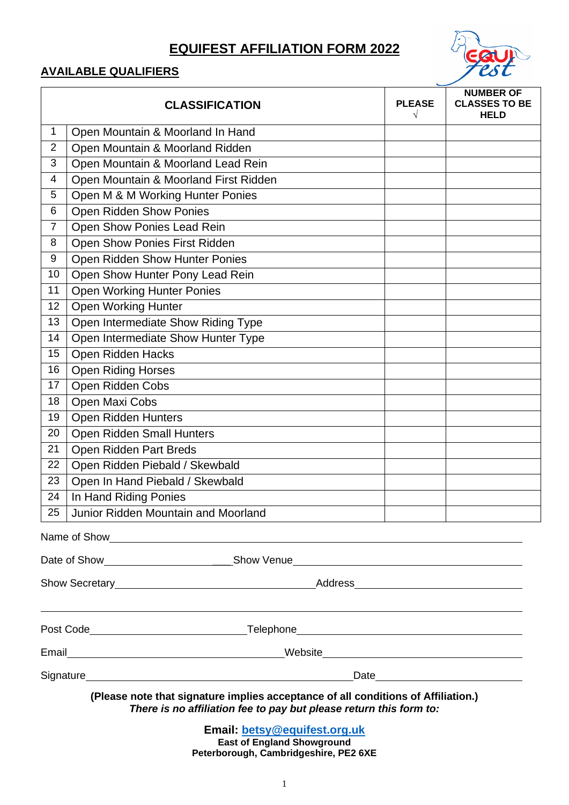# **EQUIFEST AFFILIATION FORM 2022**

## **AVAILABLE QUALIFIERS**

|                                                                                                                                                         | <b>CLASSIFICATION</b>                                                                                                                                                                                                          | <b>PLEASE</b> | <b>NUMBER OF</b><br><b>CLASSES TO BE</b><br><b>HELD</b> |  |  |
|---------------------------------------------------------------------------------------------------------------------------------------------------------|--------------------------------------------------------------------------------------------------------------------------------------------------------------------------------------------------------------------------------|---------------|---------------------------------------------------------|--|--|
| 1                                                                                                                                                       | Open Mountain & Moorland In Hand                                                                                                                                                                                               |               |                                                         |  |  |
| $\overline{2}$                                                                                                                                          | Open Mountain & Moorland Ridden                                                                                                                                                                                                |               |                                                         |  |  |
| 3                                                                                                                                                       | Open Mountain & Moorland Lead Rein                                                                                                                                                                                             |               |                                                         |  |  |
| $\overline{4}$                                                                                                                                          | Open Mountain & Moorland First Ridden                                                                                                                                                                                          |               |                                                         |  |  |
| 5                                                                                                                                                       | Open M & M Working Hunter Ponies                                                                                                                                                                                               |               |                                                         |  |  |
| 6                                                                                                                                                       | Open Ridden Show Ponies                                                                                                                                                                                                        |               |                                                         |  |  |
| $\overline{7}$                                                                                                                                          | Open Show Ponies Lead Rein                                                                                                                                                                                                     |               |                                                         |  |  |
| 8                                                                                                                                                       | Open Show Ponies First Ridden                                                                                                                                                                                                  |               |                                                         |  |  |
| 9                                                                                                                                                       | Open Ridden Show Hunter Ponies                                                                                                                                                                                                 |               |                                                         |  |  |
| 10                                                                                                                                                      | Open Show Hunter Pony Lead Rein                                                                                                                                                                                                |               |                                                         |  |  |
| 11                                                                                                                                                      | <b>Open Working Hunter Ponies</b>                                                                                                                                                                                              |               |                                                         |  |  |
| 12                                                                                                                                                      | <b>Open Working Hunter</b>                                                                                                                                                                                                     |               |                                                         |  |  |
| 13                                                                                                                                                      | Open Intermediate Show Riding Type                                                                                                                                                                                             |               |                                                         |  |  |
| 14                                                                                                                                                      | Open Intermediate Show Hunter Type                                                                                                                                                                                             |               |                                                         |  |  |
| 15                                                                                                                                                      | <b>Open Ridden Hacks</b>                                                                                                                                                                                                       |               |                                                         |  |  |
| 16                                                                                                                                                      | <b>Open Riding Horses</b>                                                                                                                                                                                                      |               |                                                         |  |  |
| 17                                                                                                                                                      | Open Ridden Cobs                                                                                                                                                                                                               |               |                                                         |  |  |
| 18                                                                                                                                                      | Open Maxi Cobs                                                                                                                                                                                                                 |               |                                                         |  |  |
| 19                                                                                                                                                      | Open Ridden Hunters                                                                                                                                                                                                            |               |                                                         |  |  |
| 20                                                                                                                                                      | Open Ridden Small Hunters                                                                                                                                                                                                      |               |                                                         |  |  |
| 21                                                                                                                                                      | Open Ridden Part Breds                                                                                                                                                                                                         |               |                                                         |  |  |
| 22                                                                                                                                                      | Open Ridden Piebald / Skewbald                                                                                                                                                                                                 |               |                                                         |  |  |
| 23                                                                                                                                                      | Open In Hand Piebald / Skewbald                                                                                                                                                                                                |               |                                                         |  |  |
| 24                                                                                                                                                      | In Hand Riding Ponies                                                                                                                                                                                                          |               |                                                         |  |  |
| 25                                                                                                                                                      | Junior Ridden Mountain and Moorland                                                                                                                                                                                            |               |                                                         |  |  |
|                                                                                                                                                         |                                                                                                                                                                                                                                |               |                                                         |  |  |
|                                                                                                                                                         |                                                                                                                                                                                                                                |               |                                                         |  |  |
|                                                                                                                                                         | Show Secretary entertainment of the Address Address Address Address Address And the Address Address Address Address Address Address Address Address Address Address Address Address Address Address Address Address Address Ad |               |                                                         |  |  |
|                                                                                                                                                         |                                                                                                                                                                                                                                |               |                                                         |  |  |
|                                                                                                                                                         |                                                                                                                                                                                                                                |               |                                                         |  |  |
|                                                                                                                                                         |                                                                                                                                                                                                                                |               |                                                         |  |  |
|                                                                                                                                                         |                                                                                                                                                                                                                                |               |                                                         |  |  |
| (Please note that signature implies acceptance of all conditions of Affiliation.)<br>There is no affiliation fee to pay but please return this form to: |                                                                                                                                                                                                                                |               |                                                         |  |  |

**Email: [betsy@equifest.org.uk](mailto:betsy@equifest.org.uk) East of England Showground Peterborough, Cambridgeshire, PE2 6XE**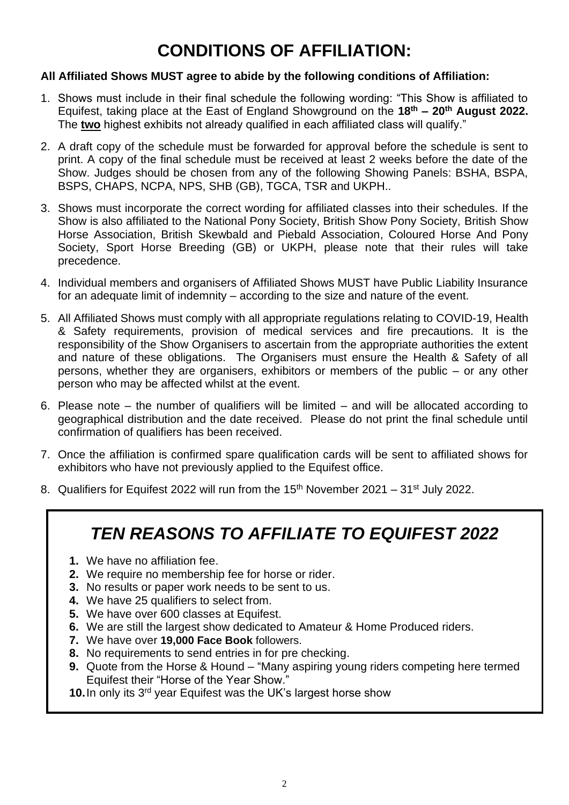# **CONDITIONS OF AFFILIATION:**

#### **All Affiliated Shows MUST agree to abide by the following conditions of Affiliation:**

- 1. Shows must include in their final schedule the following wording: "This Show is affiliated to Equifest, taking place at the East of England Showground on the **18 th – 20 th August 2022.** The **two** highest exhibits not already qualified in each affiliated class will qualify."
- 2. A draft copy of the schedule must be forwarded for approval before the schedule is sent to print. A copy of the final schedule must be received at least 2 weeks before the date of the Show. Judges should be chosen from any of the following Showing Panels: BSHA, BSPA, BSPS, CHAPS, NCPA, NPS, SHB (GB), TGCA, TSR and UKPH..
- 3. Shows must incorporate the correct wording for affiliated classes into their schedules. If the Show is also affiliated to the National Pony Society, British Show Pony Society, British Show Horse Association, British Skewbald and Piebald Association, Coloured Horse And Pony Society, Sport Horse Breeding (GB) or UKPH, please note that their rules will take precedence.
- 4. Individual members and organisers of Affiliated Shows MUST have Public Liability Insurance for an adequate limit of indemnity – according to the size and nature of the event.
- 5. All Affiliated Shows must comply with all appropriate regulations relating to COVID-19, Health & Safety requirements, provision of medical services and fire precautions. It is the responsibility of the Show Organisers to ascertain from the appropriate authorities the extent and nature of these obligations. The Organisers must ensure the Health & Safety of all persons, whether they are organisers, exhibitors or members of the public – or any other person who may be affected whilst at the event.
- 6. Please note the number of qualifiers will be limited and will be allocated according to geographical distribution and the date received. Please do not print the final schedule until confirmation of qualifiers has been received.
- 7. Once the affiliation is confirmed spare qualification cards will be sent to affiliated shows for exhibitors who have not previously applied to the Equifest office.
- 8. Qualifiers for Equifest 2022 will run from the  $15<sup>th</sup>$  November 2021 31<sup>st</sup> July 2022.

# *TEN REASONS TO AFFILIATE TO EQUIFEST 2022*

- **1.** We have no affiliation fee.
- **2.** We require no membership fee for horse or rider.
- **3.** No results or paper work needs to be sent to us.
- **4.** We have 25 qualifiers to select from.
- **5.** We have over 600 classes at Equitest.
- **6.** We are still the largest show dedicated to Amateur & Home Produced riders.
- **7.** We have over **19,000 Face Book** followers.
- **8.** No requirements to send entries in for pre checking.
- **9.** Quote from the Horse & Hound "Many aspiring young riders competing here termed Equifest their "Horse of the Year Show."
- **10.** In only its 3<sup>rd</sup> year Equifest was the UK's largest horse show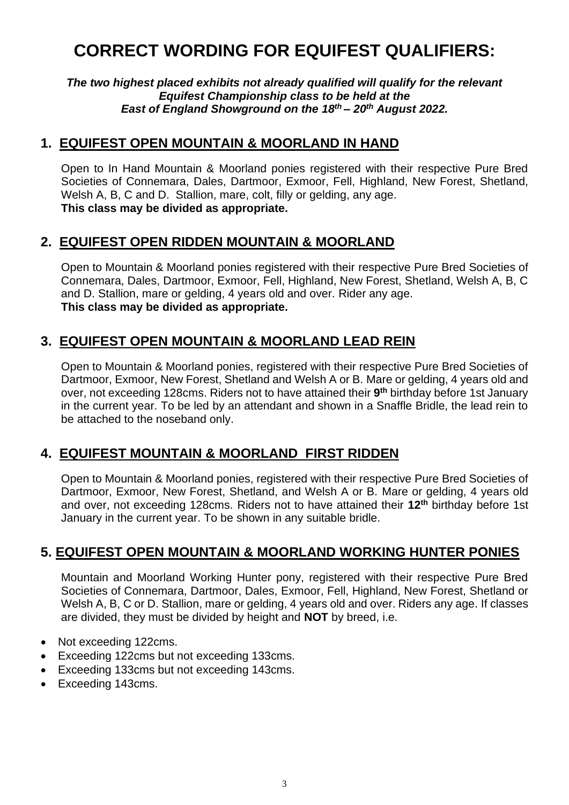# **CORRECT WORDING FOR EQUIFEST QUALIFIERS:**

*The two highest placed exhibits not already qualified will qualify for the relevant Equifest Championship class to be held at the East of England Showground on the 18 th – 20th August 2022.*

## **1. EQUIFEST OPEN MOUNTAIN & MOORLAND IN HAND**

Open to In Hand Mountain & Moorland ponies registered with their respective Pure Bred Societies of Connemara, Dales, Dartmoor, Exmoor, Fell, Highland, New Forest, Shetland, Welsh A, B, C and D. Stallion, mare, colt, filly or gelding, any age. **This class may be divided as appropriate.**

## **2. EQUIFEST OPEN RIDDEN MOUNTAIN & MOORLAND**

Open to Mountain & Moorland ponies registered with their respective Pure Bred Societies of Connemara, Dales, Dartmoor, Exmoor, Fell, Highland, New Forest, Shetland, Welsh A, B, C and D. Stallion, mare or gelding, 4 years old and over. Rider any age. **This class may be divided as appropriate.**

# **3. EQUIFEST OPEN MOUNTAIN & MOORLAND LEAD REIN**

Open to Mountain & Moorland ponies, registered with their respective Pure Bred Societies of Dartmoor, Exmoor, New Forest, Shetland and Welsh A or B. Mare or gelding, 4 years old and over, not exceeding 128cms. Riders not to have attained their **9 th** birthday before 1st January in the current year. To be led by an attendant and shown in a Snaffle Bridle, the lead rein to be attached to the noseband only.

# **4. EQUIFEST MOUNTAIN & MOORLAND FIRST RIDDEN**

Open to Mountain & Moorland ponies, registered with their respective Pure Bred Societies of Dartmoor, Exmoor, New Forest, Shetland, and Welsh A or B. Mare or gelding, 4 years old and over, not exceeding 128cms. Riders not to have attained their **12th** birthday before 1st January in the current year. To be shown in any suitable bridle.

# **5. EQUIFEST OPEN MOUNTAIN & MOORLAND WORKING HUNTER PONIES**

Mountain and Moorland Working Hunter pony, registered with their respective Pure Bred Societies of Connemara, Dartmoor, Dales, Exmoor, Fell, Highland, New Forest, Shetland or Welsh A, B, C or D. Stallion, mare or gelding, 4 years old and over. Riders any age. If classes are divided, they must be divided by height and **NOT** by breed, i.e.

- Not exceeding 122cms.
- Exceeding 122cms but not exceeding 133cms.
- Exceeding 133cms but not exceeding 143cms.
- Exceeding 143cms.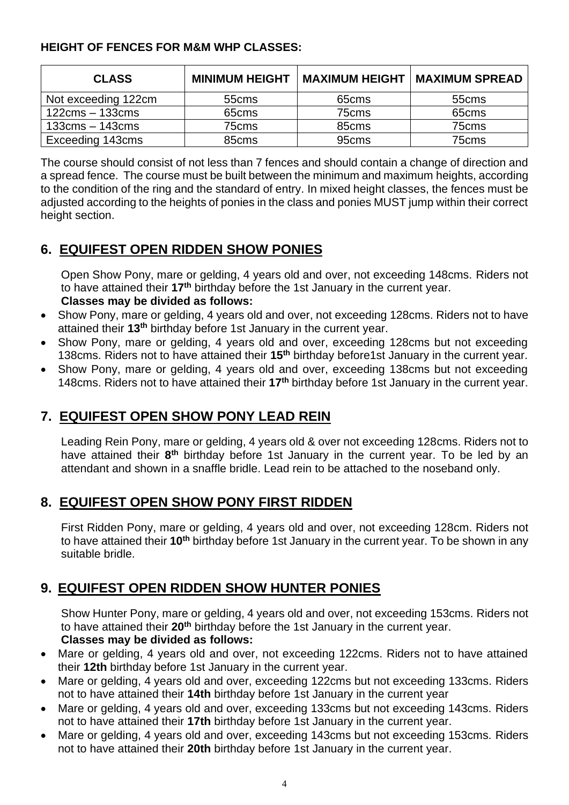#### **HEIGHT OF FENCES FOR M&M WHP CLASSES:**

| <b>CLASS</b>                      |                   | <b>MINIMUM HEIGHT   MAXIMUM HEIGHT</b> | <b>I MAXIMUM SPREAD</b> |
|-----------------------------------|-------------------|----------------------------------------|-------------------------|
| Not exceeding 122cm               | 55cms             | 65cms                                  | 55cms                   |
| $122 \text{cms} - 133 \text{cms}$ | 65 <sub>cms</sub> | 75cms                                  | 65cms                   |
| $133$ cms $-143$ cms              | 75cms             | 85 <sub>cms</sub>                      | 75cms                   |
| Exceeding 143cms                  | 85 <sub>cms</sub> | 95cms                                  | 75cms                   |

The course should consist of not less than 7 fences and should contain a change of direction and a spread fence. The course must be built between the minimum and maximum heights, according to the condition of the ring and the standard of entry. In mixed height classes, the fences must be adjusted according to the heights of ponies in the class and ponies MUST jump within their correct height section.

# **6. EQUIFEST OPEN RIDDEN SHOW PONIES**

Open Show Pony, mare or gelding, 4 years old and over, not exceeding 148cms. Riders not to have attained their **17th** birthday before the 1st January in the current year.

#### **Classes may be divided as follows:**

- Show Pony, mare or gelding, 4 years old and over, not exceeding 128cms. Riders not to have attained their **13th** birthday before 1st January in the current year.
- Show Pony, mare or gelding, 4 years old and over, exceeding 128cms but not exceeding 138cms. Riders not to have attained their **15th** birthday before1st January in the current year.
- Show Pony, mare or gelding, 4 years old and over, exceeding 138cms but not exceeding 148cms. Riders not to have attained their **17th** birthday before 1st January in the current year.

# **7. EQUIFEST OPEN SHOW PONY LEAD REIN**

Leading Rein Pony, mare or gelding, 4 years old & over not exceeding 128cms. Riders not to have attained their 8<sup>th</sup> birthday before 1st January in the current year. To be led by an attendant and shown in a snaffle bridle. Lead rein to be attached to the noseband only.

# **8. EQUIFEST OPEN SHOW PONY FIRST RIDDEN**

First Ridden Pony, mare or gelding, 4 years old and over, not exceeding 128cm. Riders not to have attained their **10th** birthday before 1st January in the current year. To be shown in any suitable bridle.

# **9. EQUIFEST OPEN RIDDEN SHOW HUNTER PONIES**

Show Hunter Pony, mare or gelding, 4 years old and over, not exceeding 153cms. Riders not to have attained their **20th** birthday before the 1st January in the current year. **Classes may be divided as follows:**

- Mare or gelding, 4 years old and over, not exceeding 122cms. Riders not to have attained their **12th** birthday before 1st January in the current year.
- Mare or gelding, 4 years old and over, exceeding 122cms but not exceeding 133cms. Riders not to have attained their **14th** birthday before 1st January in the current year
- Mare or gelding, 4 years old and over, exceeding 133cms but not exceeding 143cms. Riders not to have attained their **17th** birthday before 1st January in the current year.
- Mare or gelding, 4 years old and over, exceeding 143cms but not exceeding 153cms. Riders not to have attained their **20th** birthday before 1st January in the current year.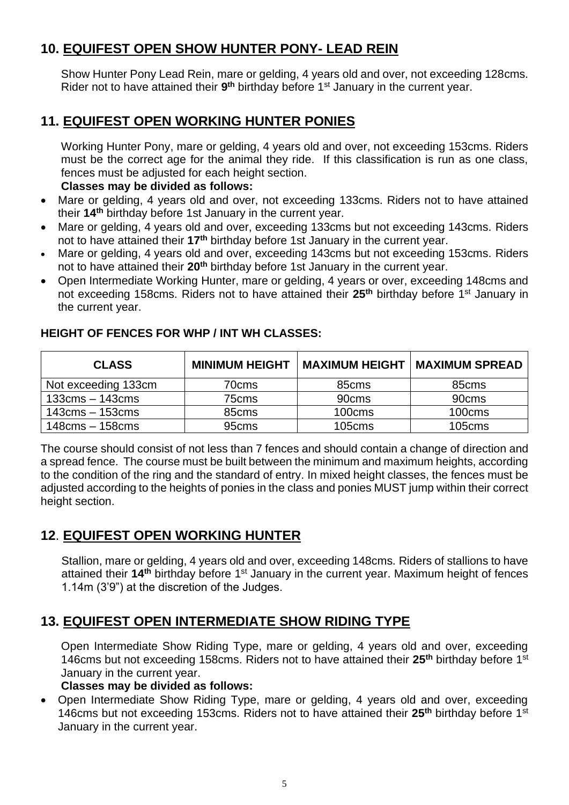# **10. EQUIFEST OPEN SHOW HUNTER PONY- LEAD REIN**

Show Hunter Pony Lead Rein, mare or gelding, 4 years old and over, not exceeding 128cms. Rider not to have attained their 9<sup>th</sup> birthday before 1<sup>st</sup> January in the current year.

# **11. EQUIFEST OPEN WORKING HUNTER PONIES**

Working Hunter Pony, mare or gelding, 4 years old and over, not exceeding 153cms. Riders must be the correct age for the animal they ride. If this classification is run as one class, fences must be adjusted for each height section.

#### **Classes may be divided as follows:**

- Mare or gelding, 4 years old and over, not exceeding 133cms. Riders not to have attained their **14th** birthday before 1st January in the current year.
- Mare or gelding, 4 years old and over, exceeding 133cms but not exceeding 143cms. Riders not to have attained their **17th** birthday before 1st January in the current year.
- Mare or gelding, 4 years old and over, exceeding 143cms but not exceeding 153cms. Riders not to have attained their **20th** birthday before 1st January in the current year.
- Open Intermediate Working Hunter, mare or gelding, 4 years or over, exceeding 148cms and not exceeding 158cms. Riders not to have attained their **25th** birthday before 1st January in the current year.

| <b>CLASS</b>                      | <b>MINIMUM HEIGHT</b> |                   | <b>MAXIMUM HEIGHT   MAXIMUM SPREAD</b> |
|-----------------------------------|-----------------------|-------------------|----------------------------------------|
| Not exceeding 133cm               | 70cms                 | 85 <sub>cms</sub> | 85cms                                  |
| $133$ cms $-143$ cms              | 75cms                 | 90cms             | 90cms                                  |
| $143 \text{cms} - 153 \text{cms}$ | 85 <sub>cms</sub>     | 100cms            | 100cms                                 |
| $148 \text{cms} - 158 \text{cms}$ | 95 <sub>cms</sub>     | 105cms            | 105cms                                 |

#### **HEIGHT OF FENCES FOR WHP / INT WH CLASSES:**

The course should consist of not less than 7 fences and should contain a change of direction and a spread fence. The course must be built between the minimum and maximum heights, according to the condition of the ring and the standard of entry. In mixed height classes, the fences must be adjusted according to the heights of ponies in the class and ponies MUST jump within their correct height section.

# **12**. **EQUIFEST OPEN WORKING HUNTER**

Stallion, mare or gelding, 4 years old and over, exceeding 148cms. Riders of stallions to have attained their **14th** birthday before 1st January in the current year. Maximum height of fences 1.14m (3'9") at the discretion of the Judges.

# **13. EQUIFEST OPEN INTERMEDIATE SHOW RIDING TYPE**

Open Intermediate Show Riding Type, mare or gelding, 4 years old and over, exceeding 146cms but not exceeding 158cms. Riders not to have attained their **25th** birthday before 1st January in the current year.

#### **Classes may be divided as follows:**

• Open Intermediate Show Riding Type, mare or gelding, 4 years old and over, exceeding 146cms but not exceeding 153cms. Riders not to have attained their **25th** birthday before 1st January in the current year.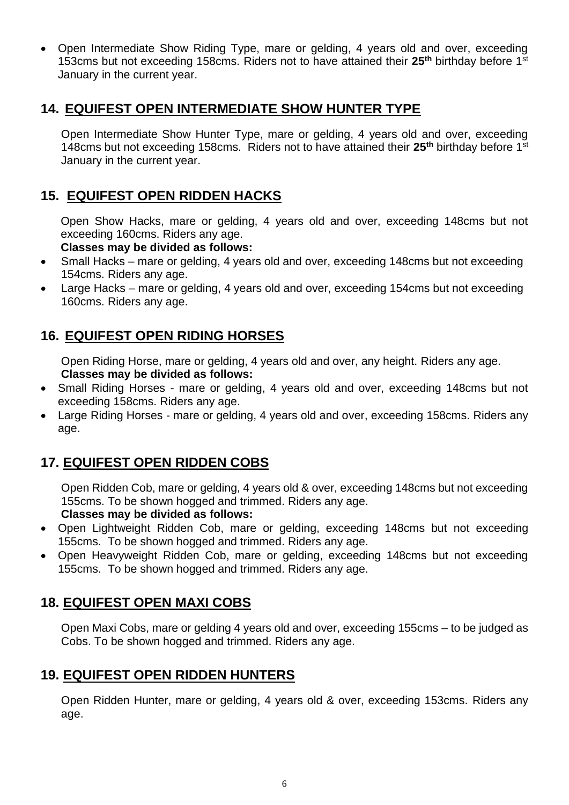• Open Intermediate Show Riding Type, mare or gelding, 4 years old and over, exceeding 153cms but not exceeding 158cms. Riders not to have attained their **25th** birthday before 1st January in the current year.

# **14. EQUIFEST OPEN INTERMEDIATE SHOW HUNTER TYPE**

Open Intermediate Show Hunter Type, mare or gelding, 4 years old and over, exceeding 148cms but not exceeding 158cms. Riders not to have attained their **25th** birthday before 1st January in the current year.

# **15. EQUIFEST OPEN RIDDEN HACKS**

Open Show Hacks, mare or gelding, 4 years old and over, exceeding 148cms but not exceeding 160cms. Riders any age.

#### **Classes may be divided as follows:**

- Small Hacks mare or gelding, 4 years old and over, exceeding 148cms but not exceeding 154cms. Riders any age.
- Large Hacks mare or gelding, 4 years old and over, exceeding 154cms but not exceeding 160cms. Riders any age.

# **16. EQUIFEST OPEN RIDING HORSES**

Open Riding Horse, mare or gelding, 4 years old and over, any height. Riders any age. **Classes may be divided as follows:**

- Small Riding Horses mare or gelding, 4 years old and over, exceeding 148cms but not exceeding 158cms. Riders any age.
- Large Riding Horses mare or gelding, 4 years old and over, exceeding 158cms. Riders any age.

# **17. EQUIFEST OPEN RIDDEN COBS**

Open Ridden Cob, mare or gelding, 4 years old & over, exceeding 148cms but not exceeding 155cms. To be shown hogged and trimmed. Riders any age.

#### **Classes may be divided as follows:**

- Open Lightweight Ridden Cob, mare or gelding, exceeding 148cms but not exceeding 155cms. To be shown hogged and trimmed. Riders any age.
- Open Heavyweight Ridden Cob, mare or gelding, exceeding 148cms but not exceeding 155cms. To be shown hogged and trimmed. Riders any age.

### **18. EQUIFEST OPEN MAXI COBS**

Open Maxi Cobs, mare or gelding 4 years old and over, exceeding 155cms – to be judged as Cobs. To be shown hogged and trimmed. Riders any age.

### **19. EQUIFEST OPEN RIDDEN HUNTERS**

Open Ridden Hunter, mare or gelding, 4 years old & over, exceeding 153cms. Riders any age.